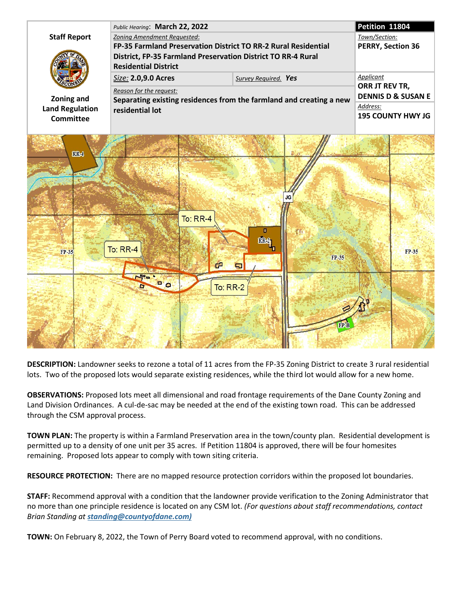

**DESCRIPTION:** Landowner seeks to rezone a total of 11 acres from the FP-35 Zoning District to create 3 rural residential lots. Two of the proposed lots would separate existing residences, while the third lot would allow for a new home.

**OBSERVATIONS:** Proposed lots meet all dimensional and road frontage requirements of the Dane County Zoning and Land Division Ordinances. A cul-de-sac may be needed at the end of the existing town road. This can be addressed through the CSM approval process.

**TOWN PLAN:** The property is within a Farmland Preservation area in the town/county plan. Residential development is permitted up to a density of one unit per 35 acres. If Petition 11804 is approved, there will be four homesites remaining. Proposed lots appear to comply with town siting criteria.

**RESOURCE PROTECTION:** There are no mapped resource protection corridors within the proposed lot boundaries.

**STAFF:** Recommend approval with a condition that the landowner provide verification to the Zoning Administrator that no more than one principle residence is located on any CSM lot. *(For questions about staff recommendations, contact Brian Standing at standing@countyofdane.com)*

**TOWN:** On February 8, 2022, the Town of Perry Board voted to recommend approval, with no conditions.